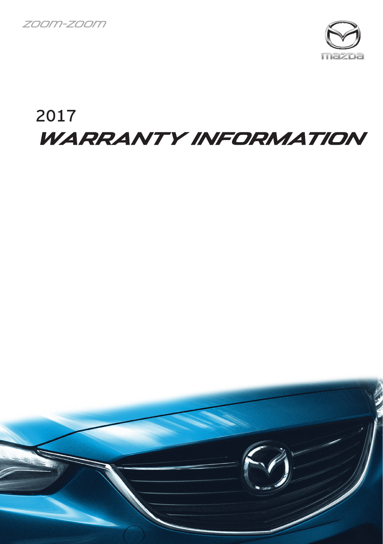



### 2017 **WARRANTY INFORMATION**

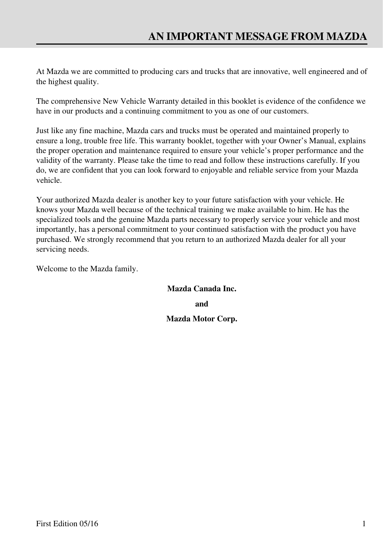At Mazda we are committed to producing cars and trucks that are innovative, well engineered and of the highest quality.

The comprehensive New Vehicle Warranty detailed in this booklet is evidence of the confidence we have in our products and a continuing commitment to you as one of our customers.

Just like any fine machine, Mazda cars and trucks must be operated and maintained properly to ensure a long, trouble free life. This warranty booklet, together with your Owner's Manual, explains the proper operation and maintenance required to ensure your vehicle's proper performance and the validity of the warranty. Please take the time to read and follow these instructions carefully. If you do, we are confident that you can look forward to enjoyable and reliable service from your Mazda vehicle.

Your authorized Mazda dealer is another key to your future satisfaction with your vehicle. He knows your Mazda well because of the technical training we make available to him. He has the specialized tools and the genuine Mazda parts necessary to properly service your vehicle and most importantly, has a personal commitment to your continued satisfaction with the product you have purchased. We strongly recommend that you return to an authorized Mazda dealer for all your servicing needs.

Welcome to the Mazda family.

**Mazda Canada Inc. and Mazda Motor Corp.**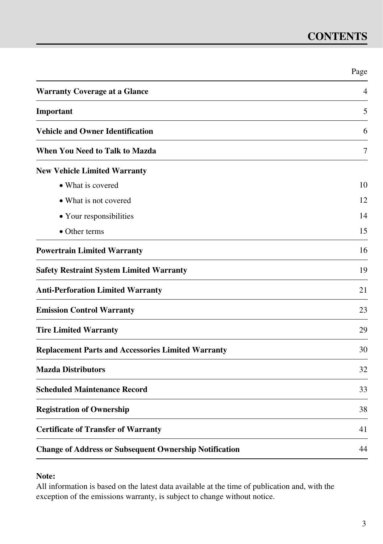|                                                               | Page           |
|---------------------------------------------------------------|----------------|
| <b>Warranty Coverage at a Glance</b>                          | $\overline{4}$ |
| Important                                                     | 5              |
| <b>Vehicle and Owner Identification</b>                       | 6              |
| When You Need to Talk to Mazda                                | $\overline{7}$ |
| <b>New Vehicle Limited Warranty</b>                           |                |
| • What is covered                                             | 10             |
| • What is not covered                                         | 12             |
| • Your responsibilities                                       | 14             |
| • Other terms                                                 | 15             |
| <b>Powertrain Limited Warranty</b>                            | 16             |
| <b>Safety Restraint System Limited Warranty</b>               | 19             |
| <b>Anti-Perforation Limited Warranty</b>                      | 21             |
| <b>Emission Control Warranty</b>                              | 23             |
| <b>Tire Limited Warranty</b>                                  | 29             |
| <b>Replacement Parts and Accessories Limited Warranty</b>     | 30             |
| <b>Mazda Distributors</b>                                     | 32             |
| <b>Scheduled Maintenance Record</b>                           | 33             |
| <b>Registration of Ownership</b>                              | 38             |
| <b>Certificate of Transfer of Warranty</b>                    | 41             |
| <b>Change of Address or Subsequent Ownership Notification</b> | 44             |

### **Note:**

All information is based on the latest data available at the time of publication and, with the exception of the emissions warranty, is subject to change without notice.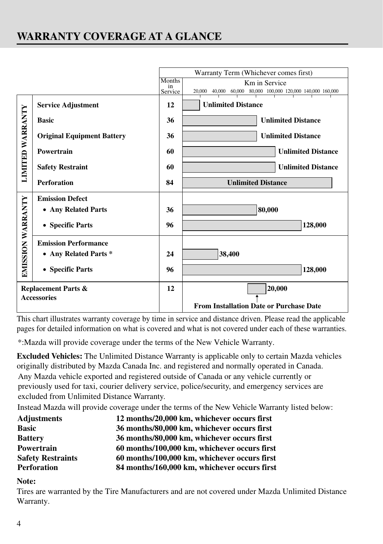### **WARRANTY COVERAGE AT A GLANCE**



This chart illustrates warranty coverage by time in service and distance driven. Please read the applicable pages for detailed information on what is covered and what is not covered under each of these warranties.

\*:Mazda will provide coverage under the terms of the New Vehicle Warranty.

**Excluded Vehicles:** The Unlimited Distance Warranty is applicable only to certain Mazda vehicles originally distributed by Mazda Canada Inc. and registered and normally operated in Canada. Any Mazda vehicle exported and registered outside of Canada or any vehicle currently or previously used for taxi, courier delivery service, police/security, and emergency services are excluded from Unlimited Distance Warranty.

Instead Mazda will provide coverage under the terms of the New Vehicle Warranty listed below:

| <b>Adjustments</b>       | 12 months/20,000 km, whichever occurs first  |
|--------------------------|----------------------------------------------|
| <b>Basic</b>             | 36 months/80,000 km, whichever occurs first  |
| <b>Battery</b>           | 36 months/80,000 km, whichever occurs first  |
| Powertrain               | 60 months/100,000 km, whichever occurs first |
| <b>Safety Restraints</b> | 60 months/100,000 km, whichever occurs first |
| <b>Perforation</b>       | 84 months/160,000 km, whichever occurs first |

### **Note:**

Tires are warranted by the Tire Manufacturers and are not covered under Mazda Unlimited Distance Warranty.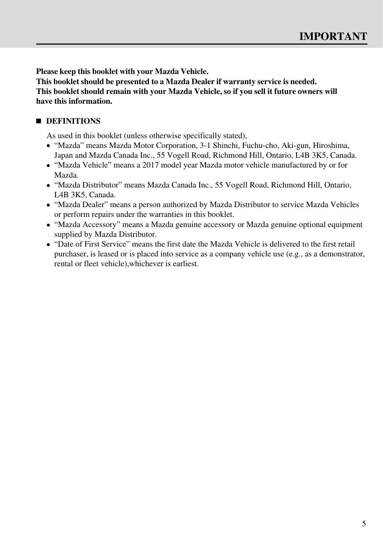**Please keep this booklet with your Mazda Vehicle.**

**This booklet should be presented to a Mazda Dealer if warranty service is needed. This booklet should remain with your Mazda Vehicle, so if you sell it future owners will have this information.**

### **DEFINITIONS**

As used in this booklet (unless otherwise specifically stated),

- "Mazda" means Mazda Motor Corporation, 3-1 Shinchi, Fuchu-cho, Aki-gun, Hiroshima, Japan and Mazda Canada Inc., 55 Vogell Road, Richmond Hill, Ontario, L4B 3K5, Canada.
- "Mazda Vehicle" means a 2017 model year Mazda motor vehicle manufactured by or for Mazda.
- · "Mazda Distributor" means Mazda Canada Inc., 55 Vogell Road, Richmond Hill, Ontario, L4B 3K5, Canada.
- "Mazda Dealer" means a person authorized by Mazda Distributor to service Mazda Vehicles or perform repairs under the warranties in this booklet.
- "Mazda Accessory" means a Mazda genuine accessory or Mazda genuine optional equipment supplied by Mazda Distributor.
- "Date of First Service" means the first date the Mazda Vehicle is delivered to the first retail purchaser, is leased or is placed into service as a company vehicle use (e.g., as a demonstrator, rental or fleet vehicle),whichever is earliest.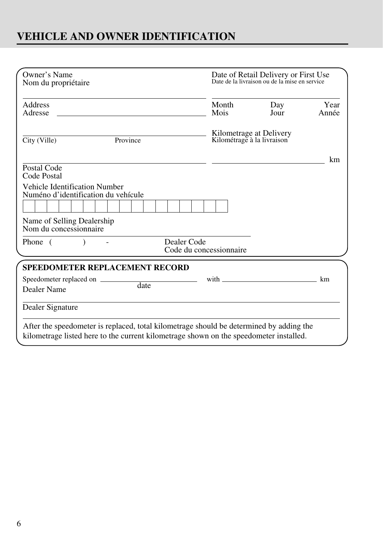### **VEHICLE AND OWNER IDENTIFICATION**

| Owner's Name<br>Nom du propriétaire                                                                                                                                               | Date of Retail Delivery or First Use<br>Date de la livraison ou de la mise en service                                                                                                                                           |                         |               |
|-----------------------------------------------------------------------------------------------------------------------------------------------------------------------------------|---------------------------------------------------------------------------------------------------------------------------------------------------------------------------------------------------------------------------------|-------------------------|---------------|
| Address<br>Adresse                                                                                                                                                                | Month<br>Mois                                                                                                                                                                                                                   | Day<br>Jour             | Year<br>Année |
| Province<br>City (Ville)                                                                                                                                                          | Kilométrage à la livraison                                                                                                                                                                                                      | Kilometrage at Delivery |               |
| Postal Code<br>Code Postal                                                                                                                                                        |                                                                                                                                                                                                                                 |                         | km            |
| Vehicle Identification Number<br>Numéno d'identification du vehícule                                                                                                              |                                                                                                                                                                                                                                 |                         |               |
| Name of Selling Dealership<br>Nom du concessionnaire                                                                                                                              |                                                                                                                                                                                                                                 |                         |               |
| Dealer Code<br>Phone (                                                                                                                                                            | Code du concessionnaire                                                                                                                                                                                                         |                         |               |
| <b>SPEEDOMETER REPLACEMENT RECORD</b><br>date<br>Dealer Name                                                                                                                      | with the same state of the state of the state of the state of the state of the state of the state of the state of the state of the state of the state of the state of the state of the state of the state of the state of the s |                         | km            |
| Dealer Signature                                                                                                                                                                  |                                                                                                                                                                                                                                 |                         |               |
| After the speedometer is replaced, total kilometrage should be determined by adding the<br>kilometrage listed here to the current kilometrage shown on the speedometer installed. |                                                                                                                                                                                                                                 |                         |               |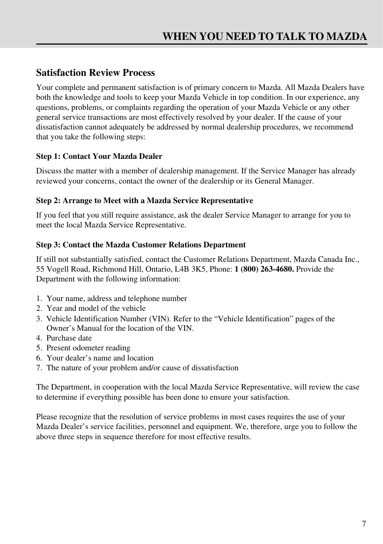### **Satisfaction Review Process**

Your complete and permanent satisfaction is of primary concern to Mazda. All Mazda Dealers have both the knowledge and tools to keep your Mazda Vehicle in top condition. In our experience, any questions, problems, or complaints regarding the operation of your Mazda Vehicle or any other general service transactions are most effectively resolved by your dealer. If the cause of your dissatisfaction cannot adequately be addressed by normal dealership procedures, we recommend that you take the following steps:

### **Step 1: Contact Your Mazda Dealer**

Discuss the matter with a member of dealership management. If the Service Manager has already reviewed your concerns, contact the owner of the dealership or its General Manager.

### **Step 2: Arrange to Meet with a Mazda Service Representative**

If you feel that you still require assistance, ask the dealer Service Manager to arrange for you to meet the local Mazda Service Representative.

### **Step 3: Contact the Mazda Customer Relations Department**

If still not substantially satisfied, contact the Customer Relations Department, Mazda Canada Inc., 55 Vogell Road, Richmond Hill, Ontario, L4B 3K5, Phone: **1 (800) 263-4680.** Provide the Department with the following information:

- 1. Your name, address and telephone number
- 2. Year and model of the vehicle
- 3. Vehicle Identification Number (VIN). Refer to the "Vehicle Identification" pages of the Owner's Manual for the location of the VIN.
- 4. Purchase date
- 5. Present odometer reading
- 6. Your dealer's name and location
- 7. The nature of your problem and/or cause of dissatisfaction

The Department, in cooperation with the local Mazda Service Representative, will review the case to determine if everything possible has been done to ensure your satisfaction.

Please recognize that the resolution of service problems in most cases requires the use of your Mazda Dealer's service facilities, personnel and equipment. We, therefore, urge you to follow the above three steps in sequence therefore for most effective results.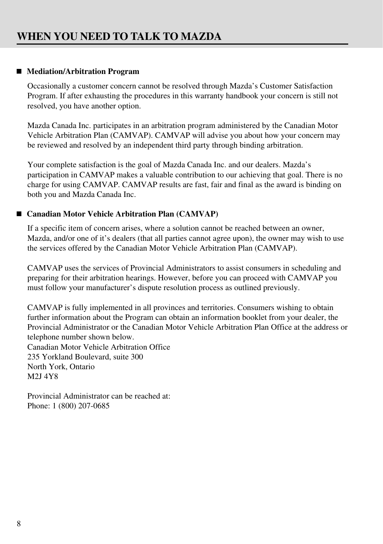### ■ Mediation/Arbitration Program

Occasionally a customer concern cannot be resolved through Mazda's Customer Satisfaction Program. If after exhausting the procedures in this warranty handbook your concern is still not resolved, you have another option.

Mazda Canada Inc. participates in an arbitration program administered by the Canadian Motor Vehicle Arbitration Plan (CAMVAP). CAMVAP will advise you about how your concern may be reviewed and resolved by an independent third party through binding arbitration.

Your complete satisfaction is the goal of Mazda Canada Inc. and our dealers. Mazda's participation in CAMVAP makes a valuable contribution to our achieving that goal. There is no charge for using CAMVAP. CAMVAP results are fast, fair and final as the award is binding on both you and Mazda Canada Inc.

### ■ Canadian Motor Vehicle Arbitration Plan (CAMVAP)

If a specific item of concern arises, where a solution cannot be reached between an owner, Mazda, and/or one of it's dealers (that all parties cannot agree upon), the owner may wish to use the services offered by the Canadian Motor Vehicle Arbitration Plan (CAMVAP).

CAMVAP uses the services of Provincial Administrators to assist consumers in scheduling and preparing for their arbitration hearings. However, before you can proceed with CAMVAP you must follow your manufacturer's dispute resolution process as outlined previously.

CAMVAP is fully implemented in all provinces and territories. Consumers wishing to obtain further information about the Program can obtain an information booklet from your dealer, the Provincial Administrator or the Canadian Motor Vehicle Arbitration Plan Office at the address or telephone number shown below. Canadian Motor Vehicle Arbitration Office 235 Yorkland Boulevard, suite 300 North York, Ontario M2J 4Y8

Provincial Administrator can be reached at: Phone: 1 (800) 207-0685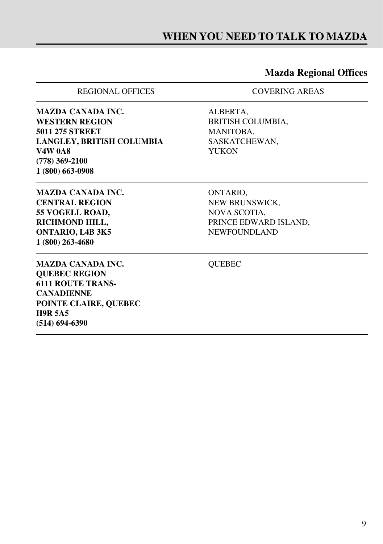### **WHEN YOU NEED TO TALK TO MAZDA**

### **Mazda Regional Offices**

### REGIONAL OFFICES COVERING AREAS

**MAZDA CANADA INC. (778) 369-2100 1 (800) 663-0908 WESTERN REGION BRITISH COLUMBIA. 5011 275 STREET** MANITOBA, **LANGLEY, BRITISH COLUMBIA** SASKATCHEWAN, **V4W 0A8** YUKON

**1 (800) 263-4680 MAZDA CANADA INC.** ONTARIO, **CENTRAL REGION NEW BRUNSWICK, 55 VOGELL ROAD, NOVA SCOTIA, ONTARIO, L4B 3K5** NEWFOUNDLAND

**QUEBEC REGION 6111 ROUTE TRANS-CANADIENNE POINTE CLAIRE, QUEBEC (514) 694-6390 H9R 5A5 MAZDA CANADA INC.** QUEBEC

ALBERTA,

**RICHMOND HILL,** PRINCE EDWARD ISLAND,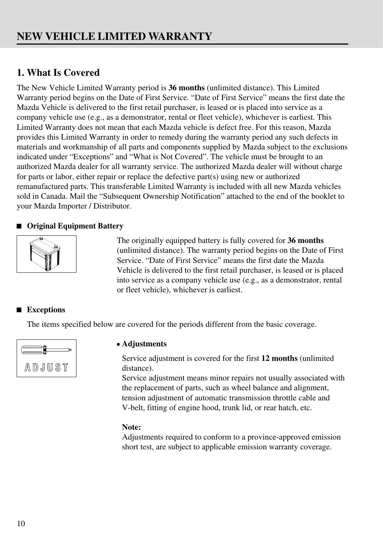### **NEW VEHICLE LIMITED WARRANTY**

### **1. What Is Covered**

The New Vehicle Limited Warranty period is **36 months** (unlimited distance). This Limited Warranty period begins on the Date of First Service. "Date of First Service" means the first date the Mazda Vehicle is delivered to the first retail purchaser, is leased or is placed into service as a company vehicle use (e.g., as a demonstrator, rental or fleet vehicle), whichever is earliest. This Limited Warranty does not mean that each Mazda vehicle is defect free. For this reason, Mazda provides this Limited Warranty in order to remedy during the warranty period any such defects in materials and workmanship of all parts and components supplied by Mazda subject to the exclusions indicated under "Exceptions" and "What is Not Covered". The vehicle must be brought to an authorized Mazda dealer for all warranty service. The authorized Mazda dealer will without charge for parts or labor, either repair or replace the defective part(s) using new or authorized remanufactured parts. This transferable Limited Warranty is included with all new Mazda vehicles sold in Canada. Mail the "Subsequent Ownership Notification" attached to the end of the booklet to your Mazda Importer / Distributor.

### **Original Equipment Battery**



The originally equipped battery is fully covered for **36 months**  (unlimited distance). The warranty period begins on the Date of First Service. "Date of First Service" means the first date the Mazda Vehicle is delivered to the first retail purchaser, is leased or is placed into service as a company vehicle use (e.g., as a demonstrator, rental or fleet vehicle), whichever is earliest.

### **Exceptions**

The items specified below are covered for the periods different from the basic coverage.



### **Adjustments** •

Service adjustment is covered for the first **12 months** (unlimited distance).

Service adjustment means minor repairs not usually associated with the replacement of parts, such as wheel balance and alignment, tension adjustment of automatic transmission throttle cable and V-belt, fitting of engine hood, trunk lid, or rear hatch, etc.

### **Note:**

Adjustments required to conform to a province-approved emission short test, are subject to applicable emission warranty coverage.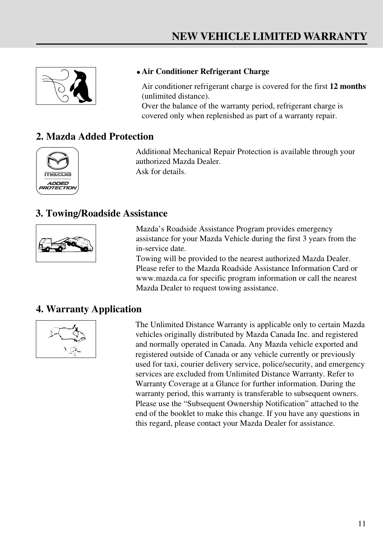

### • **Air Conditioner Refrigerant Charge**

Air conditioner refrigerant charge is covered for the first **12 months**  (unlimited distance).

Over the balance of the warranty period, refrigerant charge is covered only when replenished as part of a warranty repair.

### **2. Mazda Added Protection**



Additional Mechanical Repair Protection is available through your authorized Mazda Dealer. Ask for details.

### **3. Towing/Roadside Assistance**



Mazda's Roadside Assistance Program provides emergency assistance for your Mazda Vehicle during the first 3 years from the in-service date.

Towing will be provided to the nearest authorized Mazda Dealer. Please refer to the Mazda Roadside Assistance Information Card or www.mazda.ca for specific program information or call the nearest Mazda Dealer to request towing assistance.

### **4. Warranty Application**



The Unlimited Distance Warranty is applicable only to certain Mazda vehicles originally distributed by Mazda Canada Inc. and registered and normally operated in Canada. Any Mazda vehicle exported and registered outside of Canada or any vehicle currently or previously used for taxi, courier delivery service, police/security, and emergency services are excluded from Unlimited Distance Warranty. Refer to Warranty Coverage at a Glance for further information. During the warranty period, this warranty is transferable to subsequent owners. Please use the "Subsequent Ownership Notification" attached to the end of the booklet to make this change. If you have any questions in this regard, please contact your Mazda Dealer for assistance.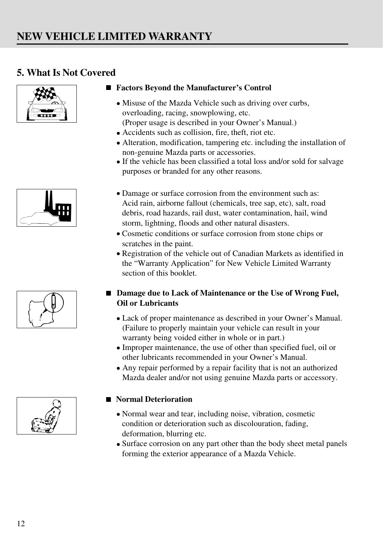### **NEW VEHICLE LIMITED WARRANTY**

### **5. What Is Not Covered**









- Misuse of the Mazda Vehicle such as driving over curbs, overloading, racing, snowplowing, etc. (Proper usage is described in your Owner's Manual.)
- Accidents such as collision, fire, theft, riot etc. •
- Alteration, modification, tampering etc. including the installation of non-genuine Mazda parts or accessories.
- If the vehicle has been classified a total loss and/or sold for salvage purposes or branded for any other reasons.
- Damage or surface corrosion from the environment such as: Acid rain, airborne fallout (chemicals, tree sap, etc), salt, road debris, road hazards, rail dust, water contamination, hail, wind storm, lightning, floods and other natural disasters.
- Cosmetic conditions or surface corrosion from stone chips or scratches in the paint.
- Registration of the vehicle out of Canadian Markets as identified in the "Warranty Application" for New Vehicle Limited Warranty section of this booklet.
- Damage due to Lack of Maintenance or the Use of Wrong Fuel, **Oil or Lubricants**
	- Lack of proper maintenance as described in your Owner's Manual. (Failure to properly maintain your vehicle can result in your warranty being voided either in whole or in part.)
	- Improper maintenance, the use of other than specified fuel, oil or other lubricants recommended in your Owner's Manual.
	- Any repair performed by a repair facility that is not an authorized •Mazda dealer and/or not using genuine Mazda parts or accessory.

### **Normal Deterioration**

- Normal wear and tear, including noise, vibration, cosmetic condition or deterioration such as discolouration, fading, deformation, blurring etc.
- Surface corrosion on any part other than the body sheet metal panels forming the exterior appearance of a Mazda Vehicle.

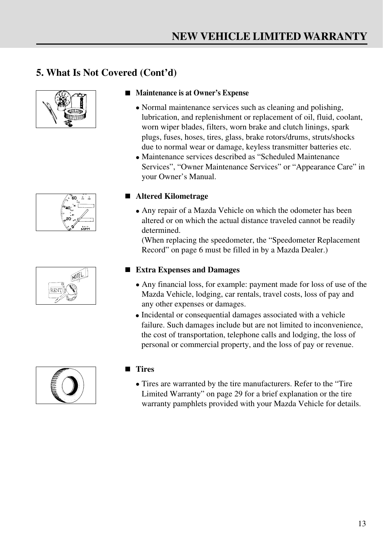### **5. What Is Not Covered (Cont'd)**









- Normal maintenance services such as cleaning and polishing, lubrication, and replenishment or replacement of oil, fluid, coolant, worn wiper blades, filters, worn brake and clutch linings, spark plugs, fuses, hoses, tires, glass, brake rotors/drums, struts/shocks due to normal wear or damage, keyless transmitter batteries etc.
- Maintenance services described as "Scheduled Maintenance Services", "Owner Maintenance Services" or "Appearance Care" in your Owner's Manual.

### **Altered Kilometrage**

Any repair of a Mazda Vehicle on which the odometer has been • altered or on which the actual distance traveled cannot be readily determined.

(When replacing the speedometer, the "Speedometer Replacement Record" on page 6 must be filled in by a Mazda Dealer.)

### **Extra Expenses and Damages**

- Any financial loss, for example: payment made for loss of use of the Mazda Vehicle, lodging, car rentals, travel costs, loss of pay and any other expenses or damages.
- Incidental or consequential damages associated with a vehicle •failure. Such damages include but are not limited to inconvenience, the cost of transportation, telephone calls and lodging, the loss of personal or commercial property, and the loss of pay or revenue.



### **Tires**

Tires are warranted by the tire manufacturers. Refer to the "Tire • Limited Warranty" on page 29 for a brief explanation or the tire warranty pamphlets provided with your Mazda Vehicle for details.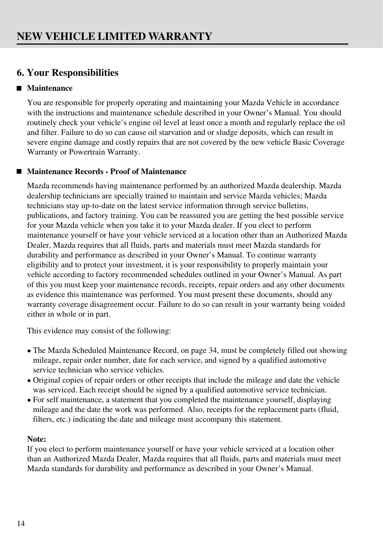### **6. Your Responsibilities**

### **Maintenance**

You are responsible for properly operating and maintaining your Mazda Vehicle in accordance with the instructions and maintenance schedule described in your Owner's Manual. You should routinely check your vehicle's engine oil level at least once a month and regularly replace the oil and filter. Failure to do so can cause oil starvation and or sludge deposits, which can result in severe engine damage and costly repairs that are not covered by the new vehicle Basic Coverage Warranty or Powertrain Warranty.

### **Maintenance Records - Proof of Maintenance**

Mazda recommends having maintenance performed by an authorized Mazda dealership. Mazda dealership technicians are specially trained to maintain and service Mazda vehicles; Mazda technicians stay up-to-date on the latest service information through service bulletins, publications, and factory training. You can be reassured you are getting the best possible service for your Mazda vehicle when you take it to your Mazda dealer. If you elect to perform maintenance yourself or have your vehicle serviced at a location other than an Authorized Mazda Dealer, Mazda requires that all fluids, parts and materials must meet Mazda standards for durability and performance as described in your Owner's Manual. To continue warranty eligibility and to protect your investment, it is your responsibility to properly maintain your vehicle according to factory recommended schedules outlined in your Owner's Manual. As part of this you must keep your maintenance records, receipts, repair orders and any other documents as evidence this maintenance was performed. You must present these documents, should any warranty coverage disagreement occur. Failure to do so can result in your warranty being voided either in whole or in part.

This evidence may consist of the following:

- The Mazda Scheduled Maintenance Record, on page 34, must be completely filled out showing mileage, repair order number, date for each service, and signed by a qualified automotive service technician who service vehicles.
- Original copies of repair orders or other receipts that include the mileage and date the vehicle was serviced. Each receipt should be signed by a qualified automotive service technician.
- For self maintenance, a statement that you completed the maintenance yourself, displaying •mileage and the date the work was performed. Also, receipts for the replacement parts (fluid, filters, etc.) indicating the date and mileage must accompany this statement.

### **Note:**

If you elect to perform maintenance yourself or have your vehicle serviced at a location other than an Authorized Mazda Dealer, Mazda requires that all fluids, parts and materials must meet Mazda standards for durability and performance as described in your Owner's Manual.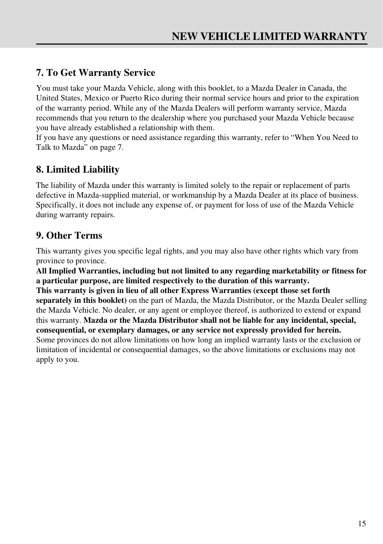### **7. To Get Warranty Service**

You must take your Mazda Vehicle, along with this booklet, to a Mazda Dealer in Canada, the United States, Mexico or Puerto Rico during their normal service hours and prior to the expiration of the warranty period. While any of the Mazda Dealers will perform warranty service, Mazda recommends that you return to the dealership where you purchased your Mazda Vehicle because you have already established a relationship with them.

If you have any questions or need assistance regarding this warranty, refer to "When You Need to Talk to Mazda" on page 7.

### **8. Limited Liability**

The liability of Mazda under this warranty is limited solely to the repair or replacement of parts defective in Mazda-supplied material, or workmanship by a Mazda Dealer at its place of business. Specifically, it does not include any expense of, or payment for loss of use of the Mazda Vehicle during warranty repairs.

### **9. Other Terms**

This warranty gives you specific legal rights, and you may also have other rights which vary from province to province.

**All Implied Warranties, including but not limited to any regarding marketability or fitness for a particular purpose, are limited respectively to the duration of this warranty. This warranty is given in lieu of all other Express Warranties (except those set forth separately in this booklet)** on the part of Mazda, the Mazda Distributor, or the Mazda Dealer selling the Mazda Vehicle. No dealer, or any agent or employee thereof, is authorized to extend or expand this warranty. **Mazda or the Mazda Distributor shall not be liable for any incidental, special, consequential, or exemplary damages, or any service not expressly provided for herein.** Some provinces do not allow limitations on how long an implied warranty lasts or the exclusion or limitation of incidental or consequential damages, so the above limitations or exclusions may not apply to you.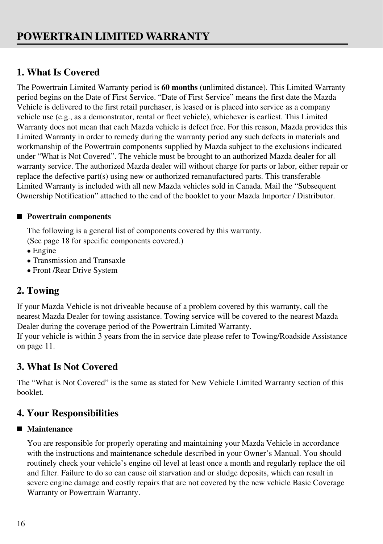### **1. What Is Covered**

The Powertrain Limited Warranty period is **60 months** (unlimited distance). This Limited Warranty period begins on the Date of First Service. "Date of First Service" means the first date the Mazda Vehicle is delivered to the first retail purchaser, is leased or is placed into service as a company vehicle use (e.g., as a demonstrator, rental or fleet vehicle), whichever is earliest. This Limited Warranty does not mean that each Mazda vehicle is defect free. For this reason, Mazda provides this Limited Warranty in order to remedy during the warranty period any such defects in materials and workmanship of the Powertrain components supplied by Mazda subject to the exclusions indicated under "What is Not Covered". The vehicle must be brought to an authorized Mazda dealer for all warranty service. The authorized Mazda dealer will without charge for parts or labor, either repair or replace the defective part(s) using new or authorized remanufactured parts. This transferable Limited Warranty is included with all new Mazda vehicles sold in Canada. Mail the "Subsequent Ownership Notification" attached to the end of the booklet to your Mazda Importer / Distributor.

### ■ Powertrain components

The following is a general list of components covered by this warranty. (See page 18 for specific components covered.)

- Engine
- Transmission and Transaxle •
- Front /Rear Drive System •

### **2. Towing**

If your Mazda Vehicle is not driveable because of a problem covered by this warranty, call the nearest Mazda Dealer for towing assistance. Towing service will be covered to the nearest Mazda Dealer during the coverage period of the Powertrain Limited Warranty.

If your vehicle is within 3 years from the in service date please refer to Towing/Roadside Assistance on page 11.

### **3. What Is Not Covered**

The "What is Not Covered" is the same as stated for New Vehicle Limited Warranty section of this booklet.

### **4. Your Responsibilities**

### **Maintenance**

You are responsible for properly operating and maintaining your Mazda Vehicle in accordance with the instructions and maintenance schedule described in your Owner's Manual. You should routinely check your vehicle's engine oil level at least once a month and regularly replace the oil and filter. Failure to do so can cause oil starvation and or sludge deposits, which can result in severe engine damage and costly repairs that are not covered by the new vehicle Basic Coverage Warranty or Powertrain Warranty.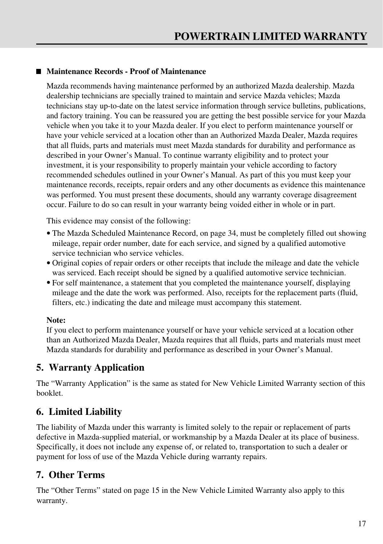### **Maintenance Records - Proof of Maintenance**

Mazda recommends having maintenance performed by an authorized Mazda dealership. Mazda dealership technicians are specially trained to maintain and service Mazda vehicles; Mazda technicians stay up-to-date on the latest service information through service bulletins, publications, and factory training. You can be reassured you are getting the best possible service for your Mazda vehicle when you take it to your Mazda dealer. If you elect to perform maintenance yourself or have your vehicle serviced at a location other than an Authorized Mazda Dealer, Mazda requires that all fluids, parts and materials must meet Mazda standards for durability and performance as described in your Owner's Manual. To continue warranty eligibility and to protect your investment, it is your responsibility to properly maintain your vehicle according to factory recommended schedules outlined in your Owner's Manual. As part of this you must keep your maintenance records, receipts, repair orders and any other documents as evidence this maintenance was performed. You must present these documents, should any warranty coverage disagreement occur. Failure to do so can result in your warranty being voided either in whole or in part.

This evidence may consist of the following:

- The Mazda Scheduled Maintenance Record, on page 34, must be completely filled out showing mileage, repair order number, date for each service, and signed by a qualified automotive service technician who service vehicles.
- Original copies of repair orders or other receipts that include the mileage and date the vehicle was serviced. Each receipt should be signed by a qualified automotive service technician.
- For self maintenance, a statement that you completed the maintenance yourself, displaying mileage and the date the work was performed. Also, receipts for the replacement parts (fluid, filters, etc.) indicating the date and mileage must accompany this statement.

### **Note:**

If you elect to perform maintenance yourself or have your vehicle serviced at a location other than an Authorized Mazda Dealer, Mazda requires that all fluids, parts and materials must meet Mazda standards for durability and performance as described in your Owner's Manual.

### **5. Warranty Application**

The "Warranty Application" is the same as stated for New Vehicle Limited Warranty section of this booklet.

### **6. Limited Liability**

The liability of Mazda under this warranty is limited solely to the repair or replacement of parts defective in Mazda-supplied material, or workmanship by a Mazda Dealer at its place of business. Specifically, it does not include any expense of, or related to, transportation to such a dealer or payment for loss of use of the Mazda Vehicle during warranty repairs.

### **7. Other Terms**

The "Other Terms" stated on page 15 in the New Vehicle Limited Warranty also apply to this warranty.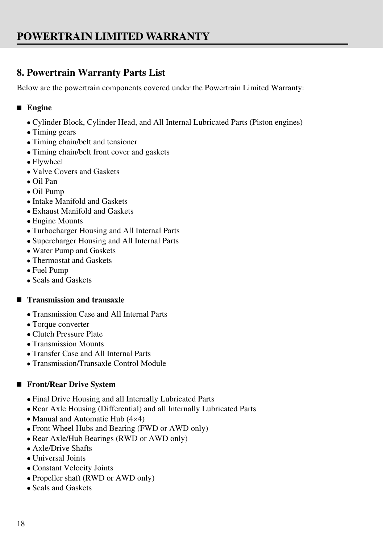### **8. Powertrain Warranty Parts List**

Below are the powertrain components covered under the Powertrain Limited Warranty:

### **Engine**

- Cylinder Block, Cylinder Head, and All Internal Lubricated Parts (Piston engines) •
- Timing gears •
- Timing chain/belt and tensioner •
- Timing chain/belt front cover and gaskets •
- Flywheel
- Valve Covers and Gaskets •
- Oil Pan •
- Oil Pump •
- Intake Manifold and Gaskets
- Exhaust Manifold and Gaskets •
- Engine Mounts •
- Turbocharger Housing and All Internal Parts •
- Supercharger Housing and All Internal Parts •
- Water Pump and Gaskets
- Thermostat and Gaskets •
- Fuel Pump •
- Seals and Gaskets

### **Transmission and transaxle**

- Transmission Case and All Internal Parts •
- Torque converter •
- Clutch Pressure Plate •
- Transmission Mounts •
- Transfer Case and All Internal Parts •
- Transmission/Transaxle Control Module •

### ■ Front/Rear Drive System

- Final Drive Housing and all Internally Lubricated Parts •
- Rear Axle Housing (Differential) and all Internally Lubricated Parts
- Manual and Automatic Hub (4×4)
- Front Wheel Hubs and Bearing (FWD or AWD only) •
- Rear Axle/Hub Bearings (RWD or AWD only)
- Axle/Drive Shafts
- Universal Joints •
- Constant Velocity Joints •
- Propeller shaft (RWD or AWD only) •
- Seals and Gaskets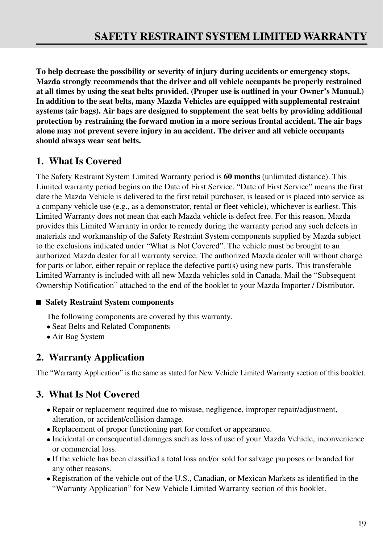**To help decrease the possibility or severity of injury during accidents or emergency stops, Mazda strongly recommends that the driver and all vehicle occupants be properly restrained at all times by using the seat belts provided. (Proper use is outlined in your Owner's Manual.) In addition to the seat belts, many Mazda Vehicles are equipped with supplemental restraint systems (air bags). Air bags are designed to supplement the seat belts by providing additional protection by restraining the forward motion in a more serious frontal accident. The air bags alone may not prevent severe injury in an accident. The driver and all vehicle occupants should always wear seat belts.**

### **1. What Is Covered**

The Safety Restraint System Limited Warranty period is **60 months** (unlimited distance). This Limited warranty period begins on the Date of First Service. "Date of First Service" means the first date the Mazda Vehicle is delivered to the first retail purchaser, is leased or is placed into service as a company vehicle use (e.g., as a demonstrator, rental or fleet vehicle), whichever is earliest. This Limited Warranty does not mean that each Mazda vehicle is defect free. For this reason, Mazda provides this Limited Warranty in order to remedy during the warranty period any such defects in materials and workmanship of the Safety Restraint System components supplied by Mazda subject to the exclusions indicated under "What is Not Covered". The vehicle must be brought to an authorized Mazda dealer for all warranty service. The authorized Mazda dealer will without charge for parts or labor, either repair or replace the defective part(s) using new parts. This transferable Limited Warranty is included with all new Mazda vehicles sold in Canada. Mail the "Subsequent Ownership Notification" attached to the end of the booklet to your Mazda Importer / Distributor.

### ■ Safety Restraint System components

The following components are covered by this warranty.

- Seat Belts and Related Components
- Air Bag System •

### **2. Warranty Application**

The "Warranty Application" is the same as stated for New Vehicle Limited Warranty section of this booklet.

### **3. What Is Not Covered**

- Repair or replacement required due to misuse, negligence, improper repair/adjustment, alteration, or accident/collision damage.
- Replacement of proper functioning part for comfort or appearance. •
- Incidental or consequential damages such as loss of use of your Mazda Vehicle, inconvenience or commercial loss.
- If the vehicle has been classified a total loss and/or sold for salvage purposes or branded for any other reasons.
- · Registration of the vehicle out of the U.S., Canadian, or Mexican Markets as identified in the "Warranty Application" for New Vehicle Limited Warranty section of this booklet.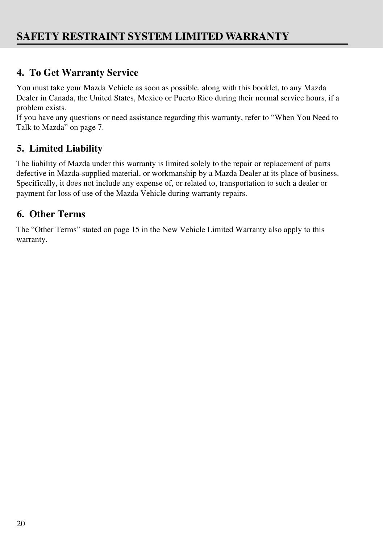### **4. To Get Warranty Service**

You must take your Mazda Vehicle as soon as possible, along with this booklet, to any Mazda Dealer in Canada, the United States, Mexico or Puerto Rico during their normal service hours, if a problem exists.

If you have any questions or need assistance regarding this warranty, refer to "When You Need to Talk to Mazda" on page 7.

### **5. Limited Liability**

The liability of Mazda under this warranty is limited solely to the repair or replacement of parts defective in Mazda-supplied material, or workmanship by a Mazda Dealer at its place of business. Specifically, it does not include any expense of, or related to, transportation to such a dealer or payment for loss of use of the Mazda Vehicle during warranty repairs.

### **6. Other Terms**

The "Other Terms" stated on page 15 in the New Vehicle Limited Warranty also apply to this warranty.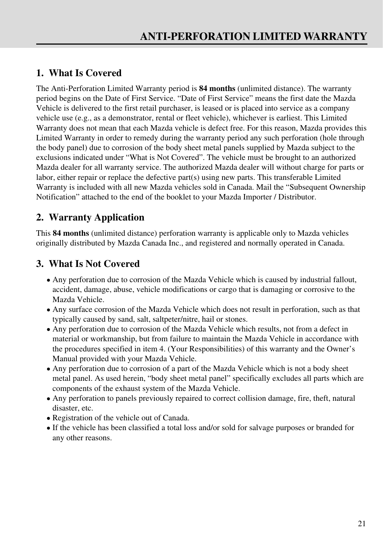### **1. What Is Covered**

The Anti-Perforation Limited Warranty period is **84 months** (unlimited distance). The warranty period begins on the Date of First Service. "Date of First Service" means the first date the Mazda Vehicle is delivered to the first retail purchaser, is leased or is placed into service as a company vehicle use (e.g., as a demonstrator, rental or fleet vehicle), whichever is earliest. This Limited Warranty does not mean that each Mazda vehicle is defect free. For this reason, Mazda provides this Limited Warranty in order to remedy during the warranty period any such perforation (hole through the body panel) due to corrosion of the body sheet metal panels supplied by Mazda subject to the exclusions indicated under "What is Not Covered". The vehicle must be brought to an authorized Mazda dealer for all warranty service. The authorized Mazda dealer will without charge for parts or labor, either repair or replace the defective part(s) using new parts. This transferable Limited Warranty is included with all new Mazda vehicles sold in Canada. Mail the "Subsequent Ownership Notification" attached to the end of the booklet to your Mazda Importer / Distributor.

### **2. Warranty Application**

This **84 months** (unlimited distance) perforation warranty is applicable only to Mazda vehicles originally distributed by Mazda Canada Inc., and registered and normally operated in Canada.

### **3. What Is Not Covered**

- Any perforation due to corrosion of the Mazda Vehicle which is caused by industrial fallout, accident, damage, abuse, vehicle modifications or cargo that is damaging or corrosive to the Mazda Vehicle.
- Any surface corrosion of the Mazda Vehicle which does not result in perforation, such as that typically caused by sand, salt, saltpeter/nitre, hail or stones.
- Any perforation due to corrosion of the Mazda Vehicle which results, not from a defect in material or workmanship, but from failure to maintain the Mazda Vehicle in accordance with the procedures specified in item 4. (Your Responsibilities) of this warranty and the Owner's Manual provided with your Mazda Vehicle.
- Any perforation due to corrosion of a part of the Mazda Vehicle which is not a body sheet metal panel. As used herein, "body sheet metal panel" specifically excludes all parts which are components of the exhaust system of the Mazda Vehicle.
- Any perforation to panels previously repaired to correct collision damage, fire, theft, natural disaster, etc.
- Registration of the vehicle out of Canada. •
- If the vehicle has been classified a total loss and/or sold for salvage purposes or branded for any other reasons.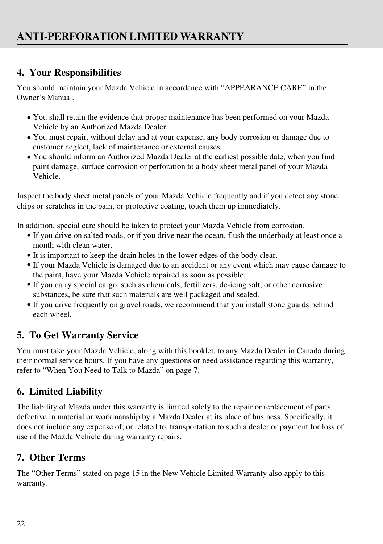### **4. Your Responsibilities**

You should maintain your Mazda Vehicle in accordance with "APPEARANCE CARE" in the Owner's Manual.

- You shall retain the evidence that proper maintenance has been performed on your Mazda Vehicle by an Authorized Mazda Dealer.
- You must repair, without delay and at your expense, any body corrosion or damage due to customer neglect, lack of maintenance or external causes.
- You should inform an Authorized Mazda Dealer at the earliest possible date, when you find paint damage, surface corrosion or perforation to a body sheet metal panel of your Mazda Vehicle.

Inspect the body sheet metal panels of your Mazda Vehicle frequently and if you detect any stone chips or scratches in the paint or protective coating, touch them up immediately.

In addition, special care should be taken to protect your Mazda Vehicle from corrosion.

- If you drive on salted roads, or if you drive near the ocean, flush the underbody at least once a month with clean water.
- It is important to keep the drain holes in the lower edges of the body clear.
- If your Mazda Vehicle is damaged due to an accident or any event which may cause damage to the paint, have your Mazda Vehicle repaired as soon as possible.
- If you carry special cargo, such as chemicals, fertilizers, de-icing salt, or other corrosive substances, be sure that such materials are well packaged and sealed.
- If you drive frequently on gravel roads, we recommend that you install stone guards behind each wheel.

### **5. To Get Warranty Service**

You must take your Mazda Vehicle, along with this booklet, to any Mazda Dealer in Canada during their normal service hours. If you have any questions or need assistance regarding this warranty, refer to "When You Need to Talk to Mazda" on page 7.

### **6. Limited Liability**

The liability of Mazda under this warranty is limited solely to the repair or replacement of parts defective in material or workmanship by a Mazda Dealer at its place of business. Specifically, it does not include any expense of, or related to, transportation to such a dealer or payment for loss of use of the Mazda Vehicle during warranty repairs.

### **7. Other Terms**

The "Other Terms" stated on page 15 in the New Vehicle Limited Warranty also apply to this warranty.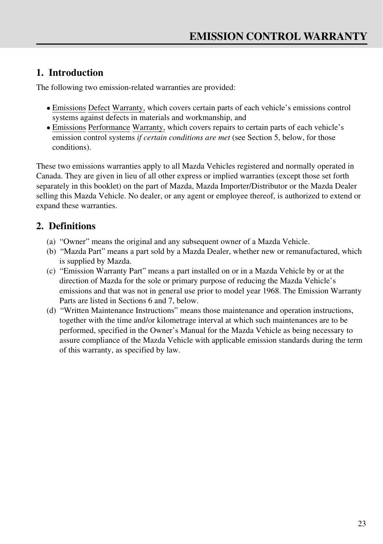### **1. Introduction**

The following two emission-related warranties are provided:

- Emissions Defect Warranty, which covers certain parts of each vehicle's emissions control systems against defects in materials and workmanship, and
- Emissions Performance Warranty, which covers repairs to certain parts of each vehicle's emission control systems *if certain conditions are met* (see Section 5, below, for those conditions).

These two emissions warranties apply to all Mazda Vehicles registered and normally operated in Canada. They are given in lieu of all other express or implied warranties (except those set forth separately in this booklet) on the part of Mazda, Mazda Importer/Distributor or the Mazda Dealer selling this Mazda Vehicle. No dealer, or any agent or employee thereof, is authorized to extend or expand these warranties.

### **2. Definitions**

- (a) "Owner" means the original and any subsequent owner of a Mazda Vehicle.
- (b) "Mazda Part" means a part sold by a Mazda Dealer, whether new or remanufactured, which is supplied by Mazda.
- (c) "Emission Warranty Part" means a part installed on or in a Mazda Vehicle by or at the direction of Mazda for the sole or primary purpose of reducing the Mazda Vehicle's emissions and that was not in general use prior to model year 1968. The Emission Warranty Parts are listed in Sections 6 and 7, below.
- (d) "Written Maintenance Instructions" means those maintenance and operation instructions, together with the time and/or kilometrage interval at which such maintenances are to be performed, specified in the Owner's Manual for the Mazda Vehicle as being necessary to assure compliance of the Mazda Vehicle with applicable emission standards during the term of this warranty, as specified by law.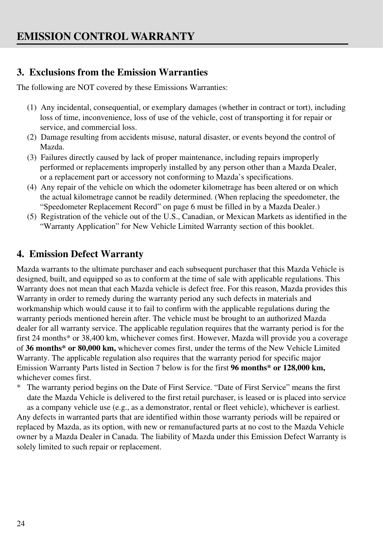### **3. Exclusions from the Emission Warranties**

The following are NOT covered by these Emissions Warranties:

- (1) Any incidental, consequential, or exemplary damages (whether in contract or tort), including loss of time, inconvenience, loss of use of the vehicle, cost of transporting it for repair or service, and commercial loss.
- (2) Damage resulting from accidents misuse, natural disaster, or events beyond the control of Mazda.
- (3) Failures directly caused by lack of proper maintenance, including repairs improperly performed or replacements improperly installed by any person other than a Mazda Dealer, or a replacement part or accessory not conforming to Mazda's specifications.
- (4) Any repair of the vehicle on which the odometer kilometrage has been altered or on which the actual kilometrage cannot be readily determined. (When replacing the speedometer, the "Speedometer Replacement Record" on page 6 must be filled in by a Mazda Dealer.)
- (5) Registration of the vehicle out of the U.S., Canadian, or Mexican Markets as identified in the "Warranty Application" for New Vehicle Limited Warranty section of this booklet.

### **4. Emission Defect Warranty**

Mazda warrants to the ultimate purchaser and each subsequent purchaser that this Mazda Vehicle is designed, built, and equipped so as to conform at the time of sale with applicable regulations. This Warranty does not mean that each Mazda vehicle is defect free. For this reason, Mazda provides this Warranty in order to remedy during the warranty period any such defects in materials and workmanship which would cause it to fail to confirm with the applicable regulations during the warranty periods mentioned herein after. The vehicle must be brought to an authorized Mazda dealer for all warranty service. The applicable regulation requires that the warranty period is for the first 24 months\* or 38,400 km, whichever comes first. However, Mazda will provide you a coverage of **36 months\* or 80,000 km,** whichever comes first, under the terms of the New Vehicle Limited Warranty. The applicable regulation also requires that the warranty period for specific major Emission Warranty Parts listed in Section 7 below is for the first **96 months\* or 128,000 km,**  whichever comes first.

\* The warranty period begins on the Date of First Service. "Date of First Service" means the first date the Mazda Vehicle is delivered to the first retail purchaser, is leased or is placed into service

as a company vehicle use (e.g., as a demonstrator, rental or fleet vehicle), whichever is earliest. Any defects in warranted parts that are identified within those warranty periods will be repaired or replaced by Mazda, as its option, with new or remanufactured parts at no cost to the Mazda Vehicle owner by a Mazda Dealer in Canada. The liability of Mazda under this Emission Defect Warranty is solely limited to such repair or replacement.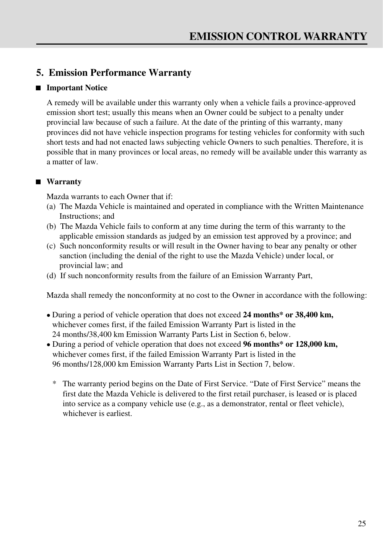### **5. Emission Performance Warranty**

### **Important Notice**

A remedy will be available under this warranty only when a vehicle fails a province-approved emission short test; usually this means when an Owner could be subject to a penalty under provincial law because of such a failure. At the date of the printing of this warranty, many provinces did not have vehicle inspection programs for testing vehicles for conformity with such short tests and had not enacted laws subjecting vehicle Owners to such penalties. Therefore, it is possible that in many provinces or local areas, no remedy will be available under this warranty as a matter of law.

### **Warranty**

Mazda warrants to each Owner that if:

- (a) The Mazda Vehicle is maintained and operated in compliance with the Written Maintenance Instructions; and
- (b) The Mazda Vehicle fails to conform at any time during the term of this warranty to the applicable emission standards as judged by an emission test approved by a province; and
- (c) Such nonconformity results or will result in the Owner having to bear any penalty or other sanction (including the denial of the right to use the Mazda Vehicle) under local, or provincial law; and
- (d) If such nonconformity results from the failure of an Emission Warranty Part,

Mazda shall remedy the nonconformity at no cost to the Owner in accordance with the following:

- During a period of vehicle operation that does not exceed **24 months\* or 38,400 km,**  whichever comes first, if the failed Emission Warranty Part is listed in the 24 months/38,400 km Emission Warranty Parts List in Section 6, below.
- During a period of vehicle operation that does not exceed **96 months\* or 128,000 km,**  whichever comes first, if the failed Emission Warranty Part is listed in the 96 months/128,000 km Emission Warranty Parts List in Section 7, below.
	- \* The warranty period begins on the Date of First Service. "Date of First Service" means the first date the Mazda Vehicle is delivered to the first retail purchaser, is leased or is placed into service as a company vehicle use (e.g., as a demonstrator, rental or fleet vehicle), whichever is earliest.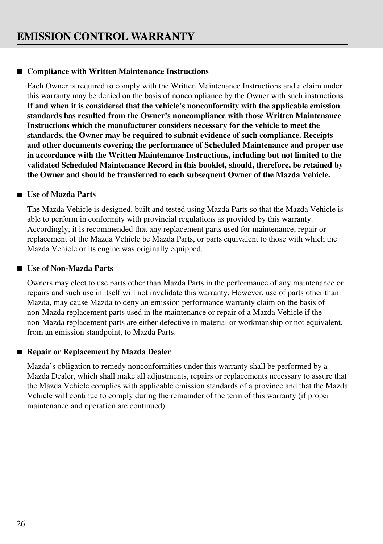### ■ Compliance with Written Maintenance Instructions

Each Owner is required to comply with the Written Maintenance Instructions and a claim under this warranty may be denied on the basis of noncompliance by the Owner with such instructions. **If and when it is considered that the vehicle's nonconformity with the applicable emission standards has resulted from the Owner's noncompliance with those Written Maintenance Instructions which the manufacturer considers necessary for the vehicle to meet the standards, the Owner may be required to submit evidence of such compliance. Receipts and other documents covering the performance of Scheduled Maintenance and proper use in accordance with the Written Maintenance Instructions, including but not limited to the validated Scheduled Maintenance Record in this booklet, should, therefore, be retained by the Owner and should be transferred to each subsequent Owner of the Mazda Vehicle.**

### **Use of Mazda Parts**

The Mazda Vehicle is designed, built and tested using Mazda Parts so that the Mazda Vehicle is able to perform in conformity with provincial regulations as provided by this warranty. Accordingly, it is recommended that any replacement parts used for maintenance, repair or replacement of the Mazda Vehicle be Mazda Parts, or parts equivalent to those with which the Mazda Vehicle or its engine was originally equipped.

### **Use of Non-Mazda Parts**

Owners may elect to use parts other than Mazda Parts in the performance of any maintenance or repairs and such use in itself will not invalidate this warranty. However, use of parts other than Mazda, may cause Mazda to deny an emission performance warranty claim on the basis of non-Mazda replacement parts used in the maintenance or repair of a Mazda Vehicle if the non-Mazda replacement parts are either defective in material or workmanship or not equivalent, from an emission standpoint, to Mazda Parts.

### **Repair or Replacement by Mazda Dealer**

Mazda's obligation to remedy nonconformities under this warranty shall be performed by a Mazda Dealer, which shall make all adjustments, repairs or replacements necessary to assure that the Mazda Vehicle complies with applicable emission standards of a province and that the Mazda Vehicle will continue to comply during the remainder of the term of this warranty (if proper maintenance and operation are continued).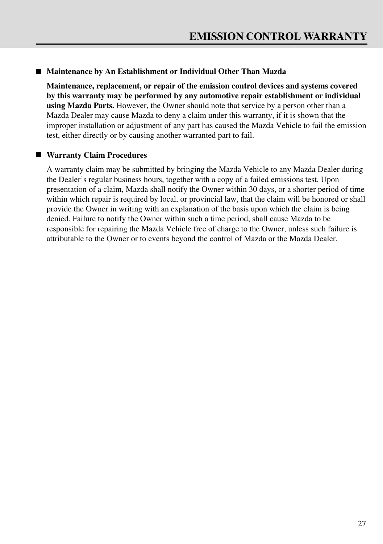### **Maintenance by An Establishment or Individual Other Than Mazda**

**Maintenance, replacement, or repair of the emission control devices and systems covered by this warranty may be performed by any automotive repair establishment or individual using Mazda Parts.** However, the Owner should note that service by a person other than a Mazda Dealer may cause Mazda to deny a claim under this warranty, if it is shown that the improper installation or adjustment of any part has caused the Mazda Vehicle to fail the emission test, either directly or by causing another warranted part to fail.

### **Warranty Claim Procedures**

A warranty claim may be submitted by bringing the Mazda Vehicle to any Mazda Dealer during the Dealer's regular business hours, together with a copy of a failed emissions test. Upon presentation of a claim, Mazda shall notify the Owner within 30 days, or a shorter period of time within which repair is required by local, or provincial law, that the claim will be honored or shall provide the Owner in writing with an explanation of the basis upon which the claim is being denied. Failure to notify the Owner within such a time period, shall cause Mazda to be responsible for repairing the Mazda Vehicle free of charge to the Owner, unless such failure is attributable to the Owner or to events beyond the control of Mazda or the Mazda Dealer.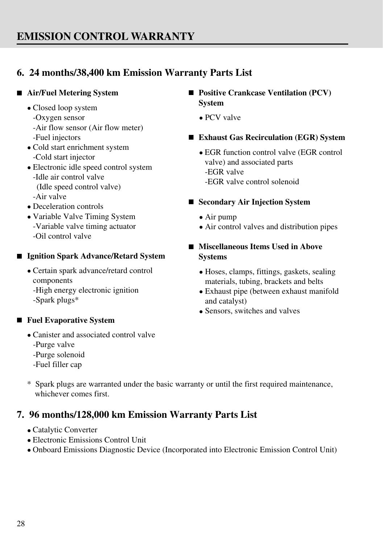### **EMISSION CONTROL WARRANTY**

### **6. 24 months/38,400 km Emission Warranty Parts List**

- Closed loop system
	- -Oxygen sensor
	- -Air flow sensor (Air flow meter) -Fuel injectors
- Cold start enrichment system -Cold start injector
- (Idle speed control valve) Electronic idle speed control system • -Idle air control valve -Air valve
- Deceleration controls •
- Variable Valve Timing System -Variable valve timing actuator -Oil control valve

### **Ignition Spark Advance/Retard System**

- Certain spark advance/retard control components
	- -Spark plugs\* -High energy electronic ignition

### **Fuel Evaporative System**

- Canister and associated control valve -Purge valve
	- -Purge solenoid
	- -Fuel filler cap
- **Air/Fuel Metering System Positive Crankcase Ventilation (PCV) System**
	- PCV valve
	- **Exhaust Gas Recirculation (EGR) System**
		- EGR function control valve (EGR control valve) and associated parts -EGR valve control solenoid

### ■ Secondary Air Injection System

- Air pump •
- Air control valves and distribution pipes
- Miscellaneous Items Used in Above **Systems**
	- Hoses, clamps, fittings, gaskets, sealing materials, tubing, brackets and belts
	- Exhaust pipe (between exhaust manifold and catalyst)
	- Sensors, switches and valves •

\* Spark plugs are warranted under the basic warranty or until the first required maintenance, whichever comes first.

### **7. 96 months/128,000 km Emission Warranty Parts List**

- Catalytic Converter •
- Electronic Emissions Control Unit •
- Onboard Emissions Diagnostic Device (Incorporated into Electronic Emission Control Unit) •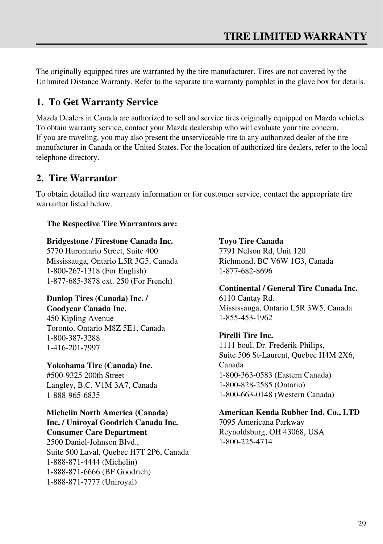The originally equipped tires are warranted by the tire manufacturer. Tires are not covered by the Unlimited Distance Warranty. Refer to the separate tire warranty pamphlet in the glove box for details.

### **1. To Get Warranty Service**

Mazda Dealers in Canada are authorized to sell and service tires originally equipped on Mazda vehicles. To obtain warranty service, contact your Mazda dealership who will evaluate your tire concern. If you are traveling, you may also present the unserviceable tire to any authorized dealer of the tire manufacturer in Canada or the United States. For the location of authorized tire dealers, refer to the local telephone directory.

### **2. Tire Warrantor**

To obtain detailed tire warranty information or for customer service, contact the appropriate tire warrantor listed below.

### **The Respective Tire Warrantors are:**

### **Bridgestone / Firestone Canada Inc.**

5770 Hurontario Street, Suite 400 Mississauga, Ontario L5R 3G5, Canada 1-800-267-1318 (For English) 1-877-685-3878 ext. 250 (For French)

### **Dunlop Tires (Canada) Inc. / Goodyear Canada Inc.**

450 Kipling Avenue Toronto, Ontario M8Z 5E1, Canada 1-800-387-3288 1-416-201-7997

**Yokohama Tire (Canada) Inc.** #500-9325 200th Street Langley, B.C. V1M 3A7, Canada 1-888-965-6835

### **Michelin North America (Canada) Inc. / Uniroyal Goodrich Canada Inc. Consumer Care Department**

2500 Daniel-Johnson Blvd., Suite 500 Laval, Quebec H7T 2P6, Canada 1-888-871-4444 (Michelin) 1-888-871-6666 (BF Goodrich) 1-888-871-7777 (Uniroyal)

**Toyo Tire Canada**

7791 Nelson Rd, Unit 120 Richmond, BC V6W 1G3, Canada 1-877-682-8696

**Continental / General Tire Canada Inc.** 6110 Cantay Rd. Mississauga, Ontario L5R 3W5, Canada 1-855-453-1962

### **Pirelli Tire Inc.**

1-800-363-0583 (Eastern Canada) 1-800-828-2585 (Ontario) 1-800-663-0148 (Western Canada) 1111 boul. Dr. Frederik-Philips, Suite 506 St-Laurent, Quebec H4M 2X6, Canada

### **American Kenda Rubber Ind. Co., LTD**

7095 Americana Parkway Reynoldsburg, OH 43068, USA 1-800-225-4714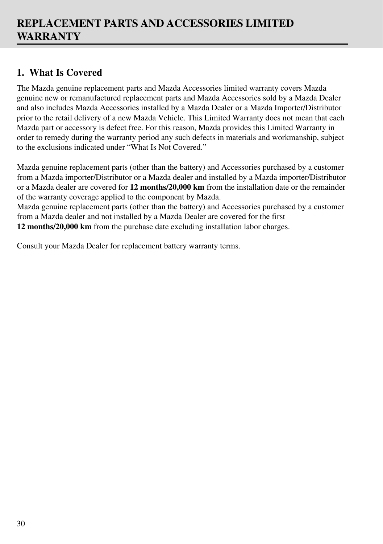### **1. What Is Covered**

The Mazda genuine replacement parts and Mazda Accessories limited warranty covers Mazda genuine new or remanufactured replacement parts and Mazda Accessories sold by a Mazda Dealer and also includes Mazda Accessories installed by a Mazda Dealer or a Mazda Importer/Distributor prior to the retail delivery of a new Mazda Vehicle. This Limited Warranty does not mean that each Mazda part or accessory is defect free. For this reason, Mazda provides this Limited Warranty in order to remedy during the warranty period any such defects in materials and workmanship, subject to the exclusions indicated under "What Is Not Covered."

Mazda genuine replacement parts (other than the battery) and Accessories purchased by a customer from a Mazda importer/Distributor or a Mazda dealer and installed by a Mazda importer/Distributor or a Mazda dealer are covered for **12 months/20,000 km** from the installation date or the remainder of the warranty coverage applied to the component by Mazda.

Mazda genuine replacement parts (other than the battery) and Accessories purchased by a customer from a Mazda dealer and not installed by a Mazda Dealer are covered for the first **12 months/20,000 km** from the purchase date excluding installation labor charges.

Consult your Mazda Dealer for replacement battery warranty terms.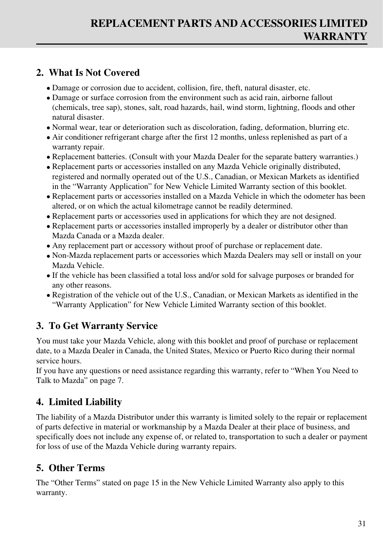### **2. What Is Not Covered**

- Damage or corrosion due to accident, collision, fire, theft, natural disaster, etc. •
- Damage or surface corrosion from the environment such as acid rain, airborne fallout (chemicals, tree sap), stones, salt, road hazards, hail, wind storm, lightning, floods and other natural disaster.
- Normal wear, tear or deterioration such as discoloration, fading, deformation, blurring etc. •
- Air conditioner refrigerant charge after the first 12 months, unless replenished as part of a warranty repair.
- Replacement batteries. (Consult with your Mazda Dealer for the separate battery warranties.)
- Replacement parts or accessories installed on any Mazda Vehicle originally distributed, registered and normally operated out of the U.S., Canadian, or Mexican Markets as identified in the "Warranty Application" for New Vehicle Limited Warranty section of this booklet.
- Replacement parts or accessories installed on a Mazda Vehicle in which the odometer has been altered, or on which the actual kilometrage cannot be readily determined.
- Replacement parts or accessories used in applications for which they are not designed.
- Replacement parts or accessories installed improperly by a dealer or distributor other than Mazda Canada or a Mazda dealer.
- Any replacement part or accessory without proof of purchase or replacement date. •
- Non-Mazda replacement parts or accessories which Mazda Dealers may sell or install on your Mazda Vehicle.
- If the vehicle has been classified a total loss and/or sold for salvage purposes or branded for any other reasons.
- Registration of the vehicle out of the U.S., Canadian, or Mexican Markets as identified in the •"Warranty Application" for New Vehicle Limited Warranty section of this booklet.

### **3. To Get Warranty Service**

You must take your Mazda Vehicle, along with this booklet and proof of purchase or replacement date, to a Mazda Dealer in Canada, the United States, Mexico or Puerto Rico during their normal service hours.

If you have any questions or need assistance regarding this warranty, refer to "When You Need to Talk to Mazda" on page 7.

### **4. Limited Liability**

The liability of a Mazda Distributor under this warranty is limited solely to the repair or replacement of parts defective in material or workmanship by a Mazda Dealer at their place of business, and specifically does not include any expense of, or related to, transportation to such a dealer or payment for loss of use of the Mazda Vehicle during warranty repairs.

### **5. Other Terms**

The "Other Terms" stated on page 15 in the New Vehicle Limited Warranty also apply to this warranty.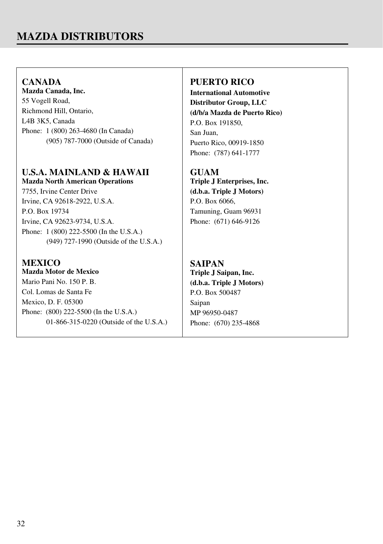### **MAZDA DISTRIBUTORS**

### **CANADA Mazda Canada, Inc.**

55 Vogell Road, Richmond Hill, Ontario, L4B 3K5, Canada Phone: 1 (800) 263-4680 (In Canada) (905) 787-7000 (Outside of Canada)

### **U.S.A. MAINLAND & HAWAII**

**Mazda North American Operations** 7755, Irvine Center Drive Irvine, CA 92618-2922, U.S.A. P.O. Box 19734 Irvine, CA 92623-9734, U.S.A. Phone: 1 (800) 222-5500 (In the U.S.A.) (949) 727-1990 (Outside of the U.S.A.)

### **MEXICO**

**Mazda Motor de Mexico** Mario Pani No. 150 P. B. Col. Lomas de Santa Fe Mexico, D. F. 05300 Phone: (800) 222-5500 (In the U.S.A.) 01-866-315-0220 (Outside of the U.S.A.)

### **PUERTO RICO**

**International Automotive Distributor Group, LLC (d/b/a Mazda de Puerto Rico)** P.O. Box 191850, San Juan, Puerto Rico, 00919-1850 Phone: (787) 641-1777

### **GUAM Triple J Enterprises, Inc. (d.b.a. Triple J Motors)** P.O. Box 6066, Tamuning, Guam 96931 Phone: (671) 646-9126

**SAIPAN Triple J Saipan, Inc. (d.b.a. Triple J Motors)** P.O. Box 500487 Saipan MP 96950-0487 Phone: (670) 235-4868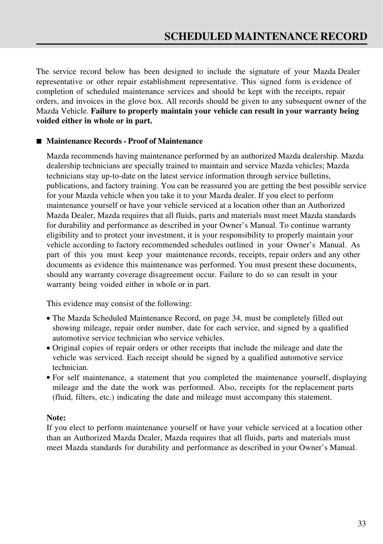The service record below has been designed to include the signature of your Mazda Dealer representative or other repair establishment representative. This signed form is evidence of completion of scheduled maintenance services and should be kept with the receipts, repair orders, and invoices in the glove box. All records should be given to any subsequent owner of the Mazda Vehicle. **Failure to properly maintain your vehicle can result in your warranty being voided either in whole or in part.**

### ■ Maintenance Records - Proof of Maintenance

Mazda recommends having maintenance performed by an authorized Mazda dealership. Mazda dealership technicians are specially trained to maintain and service Mazda vehicles; Mazda technicians stay up-to-date on the latest service information through service bulletins, publications, and factory training. You can be reassured you are getting the best possible service for your Mazda vehicle when you take it to your Mazda dealer. If you elect to perform maintenance yourself or have your vehicle serviced at a location other than an Authorized Mazda Dealer, Mazda requires that all fluids, parts and materials must meet Mazda standards for durability and performance as described in your Owner's Manual. To continue warranty eligibility and to protect your investment, it is your responsibility to properly maintain your vehicle according to factory recommended schedules outlined in your Owner's Manual. As part of this you must keep your maintenance records, receipts, repair orders and any other documents as evidence this maintenance was performed. You must present these documents, should any warranty coverage disagreement occur. Failure to do so can result in your warranty being voided either in whole or in part.

This evidence may consist of the following:

- The Mazda Scheduled Maintenance Record, on page 34, must be completely filled out showing mileage, repair order number, date for each service, and signed by a qualified automotive service technician who service vehicles.
- Original copies of repair orders or other receipts that include the mileage and date the vehicle was serviced. Each receipt should be signed by a qualified automotive service technician.
- For self maintenance, a statement that you completed the maintenance yourself, displaying mileage and the date the work was performed. Also, receipts for the replacement parts (fluid, filters, etc.) indicating the date and mileage must accompany this statement.

### **Note:**

If you elect to perform maintenance yourself or have your vehicle serviced at a location other than an Authorized Mazda Dealer, Mazda requires that all fluids, parts and materials must meet Mazda standards for durability and performance as described in your Owner's Manual.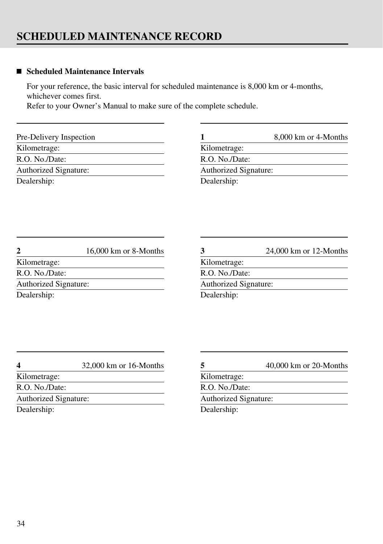### ■ Scheduled Maintenance Intervals

For your reference, the basic interval for scheduled maintenance is 8,000 km or 4-months, whichever comes first.

Refer to your Owner's Manual to make sure of the complete schedule.

| Pre-Delivery Inspection |
|-------------------------|
| Kilometrage:            |
| R.O. No./Date:          |
| Authorized Signature:   |
| Dealership:             |

|                       | 8,000 km or 4-Months |
|-----------------------|----------------------|
| Kilometrage:          |                      |
| R.O. No./Date:        |                      |
| Authorized Signature: |                      |
| Dealership:           |                      |

| $\mathbf{2}$          | 16,000 km or 8-Months |
|-----------------------|-----------------------|
| Kilometrage:          |                       |
| R.O. No./Date:        |                       |
| Authorized Signature: |                       |
| Dealership:           |                       |

| 3                     | $24,000$ km or 12-Months |
|-----------------------|--------------------------|
| Kilometrage:          |                          |
| R.O. No./Date:        |                          |
| Authorized Signature: |                          |
| Dealership:           |                          |

| 4                     | $32,000$ km or 16-Months |
|-----------------------|--------------------------|
| Kilometrage:          |                          |
| R.O. No./Date:        |                          |
| Authorized Signature: |                          |
| Dealership:           |                          |

|                       | $40,000$ km or 20-Months |
|-----------------------|--------------------------|
| Kilometrage:          |                          |
| R.O. No./Date:        |                          |
| Authorized Signature: |                          |
| Dealership:           |                          |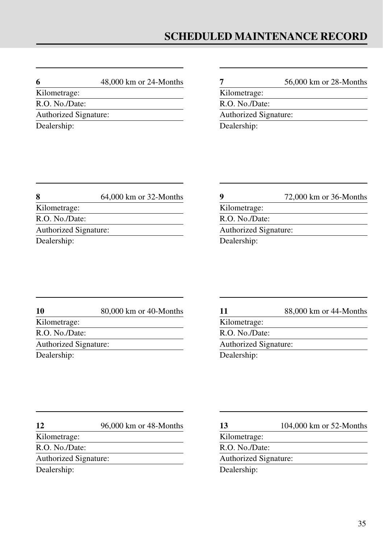### **6** 48,000 km or 24-Months

Kilometrage: R.O. No./Date: Authorized Signature: Dealership:

|                       | 56,000 km or 28-Months |
|-----------------------|------------------------|
| Kilometrage:          |                        |
| R.O. No./Date:        |                        |
| Authorized Signature: |                        |
| Dealership:           |                        |

| 8                     | $64,000$ km or 32-Months |
|-----------------------|--------------------------|
| Kilometrage:          |                          |
| R.O. No./Date:        |                          |
| Authorized Signature: |                          |
| Dealership:           |                          |

|                       | 72,000 km or 36-Months |
|-----------------------|------------------------|
| Kilometrage:          |                        |
| R.O. No./Date:        |                        |
| Authorized Signature: |                        |
| Dealership:           |                        |

| 10                    | 80,000 km or 40-Months |
|-----------------------|------------------------|
| Kilometrage:          |                        |
| R.O. No./Date:        |                        |
| Authorized Signature: |                        |
| Dealership:           |                        |

| 11                    | 88,000 km or 44-Months |
|-----------------------|------------------------|
| Kilometrage:          |                        |
| R.O. No./Date:        |                        |
| Authorized Signature: |                        |
| Dealership:           |                        |

### **12** 96,000 km or 48-Months

Kilometrage: R.O. No./Date:

Authorized Signature:

Dealership:

### **13** 104,000 km or 52-Months

Kilometrage:

R.O. No./Date:

Authorized Signature:

Dealership: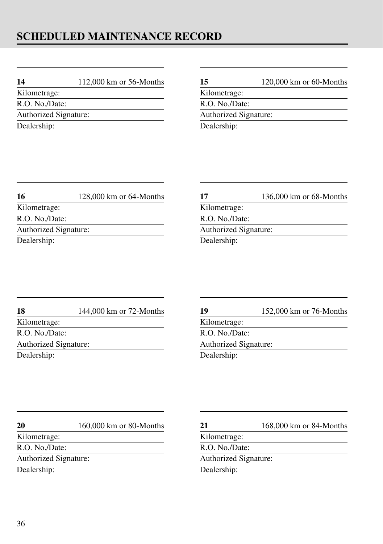| 14                    | 112,000 km or 56-Months |
|-----------------------|-------------------------|
| Kilometrage:          |                         |
| R.O. No./Date:        |                         |
| Authorized Signature: |                         |
| Dealership:           |                         |

| 15                    | $120,000$ km or 60-Months |
|-----------------------|---------------------------|
| Kilometrage:          |                           |
| R.O. No./Date:        |                           |
| Authorized Signature: |                           |
| Dealership:           |                           |

| 16                           | 128,000 km or 64-Months |
|------------------------------|-------------------------|
| Kilometrage:                 |                         |
| R.O. No./Date:               |                         |
| <b>Authorized Signature:</b> |                         |
| Dealership:                  |                         |

| 17                    | 136,000 km or 68-Months |
|-----------------------|-------------------------|
| Kilometrage:          |                         |
| R.O. No./Date:        |                         |
| Authorized Signature: |                         |
| Dealership:           |                         |

| 18                    | 144,000 km or 72-Months |
|-----------------------|-------------------------|
| Kilometrage:          |                         |
| R.O. No./Date:        |                         |
| Authorized Signature: |                         |
| Dealership:           |                         |

| 19                    | 152,000 km or 76-Months |
|-----------------------|-------------------------|
| Kilometrage:          |                         |
| R.O. No./Date:        |                         |
| Authorized Signature: |                         |
| Dealership:           |                         |

| 20                    | 160,000 km or 80-Months |
|-----------------------|-------------------------|
| Kilometrage:          |                         |
| R.O. No./Date:        |                         |
| Authorized Signature: |                         |
| Dealership:           |                         |

**21** 168,000 km or 84-Months

Kilometrage:

R.O. No./Date:

Authorized Signature:

Dealership: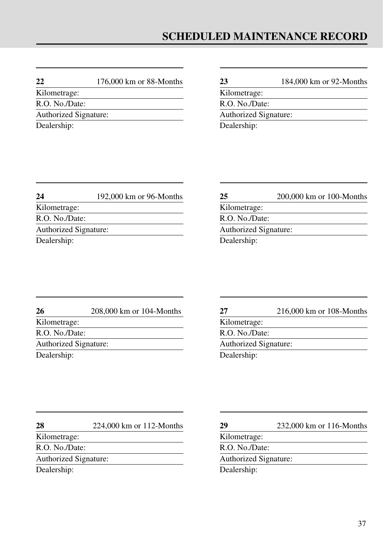### **22** 176,000 km or 88-Months

Kilometrage: R.O. No./Date:

Authorized Signature:

Dealership:

| 23                    | 184,000 km or 92-Months |
|-----------------------|-------------------------|
| Kilometrage:          |                         |
| R.O. No./Date:        |                         |
| Authorized Signature: |                         |
| Dealership:           |                         |

| 24                    | 192,000 km or 96-Months |
|-----------------------|-------------------------|
| Kilometrage:          |                         |
| R.O. No./Date:        |                         |
| Authorized Signature: |                         |
| Dealership:           |                         |

| 25                    | 200,000 km or 100-Months |
|-----------------------|--------------------------|
| Kilometrage:          |                          |
| R.O. No./Date:        |                          |
| Authorized Signature: |                          |
| Dealership:           |                          |

| 26                    | 208,000 km or 104-Months |
|-----------------------|--------------------------|
| Kilometrage:          |                          |
| R.O. No./Date:        |                          |
| Authorized Signature: |                          |
| Dealership:           |                          |

| 27             | 216,000 km or 108-Months |
|----------------|--------------------------|
| Kilometrage:   |                          |
| R.O. No./Date: |                          |
|                | Authorized Signature:    |
| Dealership:    |                          |
|                |                          |

**28** 224,000 km or 112-Months

Kilometrage:

R.O. No./Date:

Authorized Signature:

Dealership:

### **29** 232,000 km or 116-Months

Kilometrage:

R.O. No./Date:

Authorized Signature:

Dealership: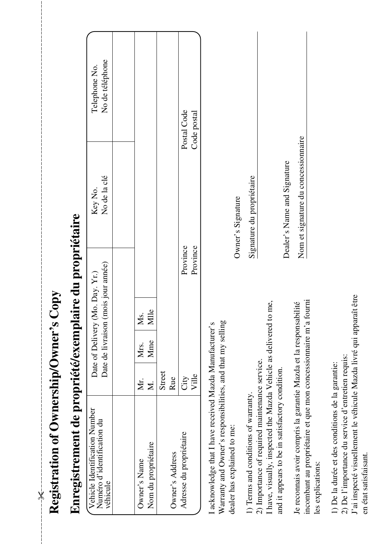| Enregistrement de propriété/exemplaire du propriétaire                                                                                                    |           |             |                                 |                                     |                                     |                                  |  |
|-----------------------------------------------------------------------------------------------------------------------------------------------------------|-----------|-------------|---------------------------------|-------------------------------------|-------------------------------------|----------------------------------|--|
| Vehicle Identification Number<br>Numéro d'identification du<br>véhicule                                                                                   |           |             | Date of Delivery (Mo. Day. Yr.) | Date de livraison (mois jour année) | No de la clé<br>Key No.             | No de téléphone<br>Telephone No. |  |
|                                                                                                                                                           |           |             |                                 |                                     |                                     |                                  |  |
| Nom du propriétaire<br>Owner's Name                                                                                                                       | Мr.<br>N. | Mme<br>Mrs. | Mlle<br>Хś.                     |                                     |                                     |                                  |  |
|                                                                                                                                                           | Street    |             |                                 |                                     |                                     |                                  |  |
| Owner's Address                                                                                                                                           | Rue       |             |                                 |                                     |                                     |                                  |  |
| Adresse du propriétaire                                                                                                                                   | City      |             |                                 | Province                            |                                     | Postal Code                      |  |
|                                                                                                                                                           | Ville     |             |                                 | Province                            |                                     | Code postal                      |  |
| Warranty and Owner's responsibilities, and that my selling<br>I acknowledge that I have received Mazda Manufacturer's                                     |           |             |                                 |                                     |                                     |                                  |  |
| dealer has explained to me:                                                                                                                               |           |             |                                 |                                     | Owner's Signature                   |                                  |  |
| 1) Terms and conditions of warranty.                                                                                                                      |           |             |                                 |                                     | Signature du propriétaire           |                                  |  |
| I have, visually, inspected the Mazda Vehicle as delivered to me,<br>2) Importance of required maintenance service.                                       |           |             |                                 |                                     |                                     |                                  |  |
| and it appears to be in satisfactory condition.                                                                                                           |           |             |                                 |                                     | Dealer's Name and Signature         |                                  |  |
| incombant au propriétaire et que mon concessionnaire m'a fourni<br>Je reconnais avoir compris la garantie Mazda et la responsabilité<br>les explications: |           |             |                                 |                                     | Nom et signature du concessionnaire |                                  |  |
|                                                                                                                                                           |           |             |                                 |                                     |                                     |                                  |  |

**Registration of Ownership/Owner's Copy**

Registration of Ownership/Owner's Copy

 $\overline{\mathsf{x}}$ 

2) De l'importance du service d'entretien requis:<br>J'ai inspecté visuellement le véhicule Mazda livré qui apparaît être J'ai inspecté visuellement le véhicule Mazda livré qui apparaît être 2) De l'importance du service d'entretien requis: 1) De la durée et des conditions de la garantie: 1) De la durée et des conditions de la garantie: en état satisfaisant. en état satisfaisant.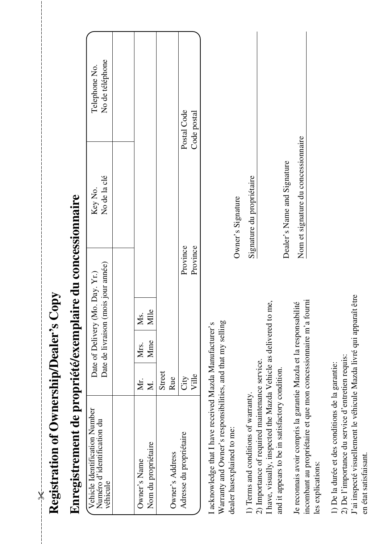| Enregistremer                                                                                                                                                          |           |             |                                 |                                     | nt de propriété/exemplaire du concessionnaire |                                  |  |
|------------------------------------------------------------------------------------------------------------------------------------------------------------------------|-----------|-------------|---------------------------------|-------------------------------------|-----------------------------------------------|----------------------------------|--|
| Vehicle Identification Number<br>Numéro d'identification du<br>véhicule                                                                                                |           |             | Date of Delivery (Mo. Day. Yr.) | Date de livraison (mois jour année) | No de la clé<br>Key No.                       | No de téléphone<br>Telephone No. |  |
|                                                                                                                                                                        |           |             |                                 |                                     |                                               |                                  |  |
| Nom du propriétaire<br>Owner's Name                                                                                                                                    | Йr.<br>Σ. | Mme<br>Mrs. | Mile<br>Хś.                     |                                     |                                               |                                  |  |
|                                                                                                                                                                        | Street    |             |                                 |                                     |                                               |                                  |  |
| Owner's Address                                                                                                                                                        | Rue       |             |                                 |                                     |                                               |                                  |  |
| Adresse du propriétaire                                                                                                                                                | City      |             |                                 | Province                            |                                               | Postal Code                      |  |
|                                                                                                                                                                        | Ville     |             |                                 | Province                            |                                               | Code postal                      |  |
| Warranty and Owner's responsibilities, and that my selling<br>I acknowledge that I have received Mazda Manufacturer's                                                  |           |             |                                 |                                     |                                               |                                  |  |
| dealer hasexplained to me:                                                                                                                                             |           |             |                                 |                                     | Owner's Signature                             |                                  |  |
| 1) Terms and conditions of warranty.                                                                                                                                   |           |             |                                 |                                     | Signature du propriétaire                     |                                  |  |
| I have, visually, inspected the Mazda Vehicle as delivered to me,<br>2) Importance of required maintenance service.<br>and it appears to be in satisfactory condition. |           |             |                                 |                                     | Dealer's Name and Signature                   |                                  |  |
| incombant au propriétaire et que mon concessionnaire m'a fourni<br>Je reconnais avoir compris la garantie Mazda et la responsabilité                                   |           |             |                                 |                                     | Nom et signature du concessionnaire           |                                  |  |
| les explications:                                                                                                                                                      |           |             |                                 |                                     |                                               |                                  |  |

**Registration of Ownership/Dealer's Copy**

Registration of Ownership/Dealer's Copy

 $\times$ 

J'ai inspecté visuellement le véhicule Mazda livré qui apparaît être J'ai inspecté visuellement le véhicule Mazda livré qui apparaît être 2) De l'importance du service d'entretien requis: 2) De l'importance du service d'entretien requis: 1) De la durée et des conditions de la garantie: 1) De la durée et des conditions de la garantie: en état satisfaisant. en état satisfaisant.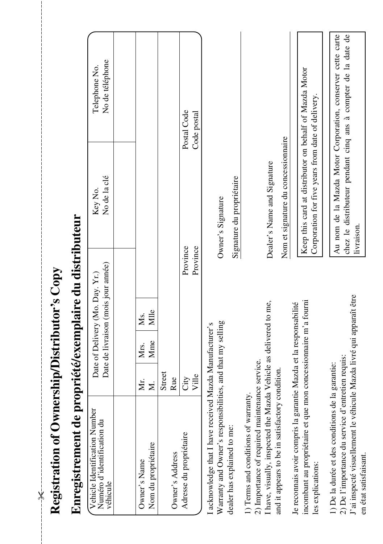| Vehicle Identification Number<br>Numéro d'identification du<br>véhicule                                                                                                                                |                          | Date de livraison (mois jour année)<br>Date of Delivery (Mo. Day. Yr.) | No de la clé<br>Key No.             |                                                   | No de téléphone<br>Telephone No.                                                                                             |  |
|--------------------------------------------------------------------------------------------------------------------------------------------------------------------------------------------------------|--------------------------|------------------------------------------------------------------------|-------------------------------------|---------------------------------------------------|------------------------------------------------------------------------------------------------------------------------------|--|
|                                                                                                                                                                                                        |                          |                                                                        |                                     |                                                   |                                                                                                                              |  |
| Nom du propriétaire<br>Owner's Name                                                                                                                                                                    | Mme<br>Mrs.<br>Мr.<br>Σ. | Mlle<br>Хś.                                                            |                                     |                                                   |                                                                                                                              |  |
| Owner's Address                                                                                                                                                                                        | Street<br>Rue            |                                                                        |                                     |                                                   |                                                                                                                              |  |
| Adresse du propriétaire                                                                                                                                                                                | Ville<br>City            |                                                                        | Province<br>Province                |                                                   | Postal Code<br>Code postal                                                                                                   |  |
| Warranty and Owner's responsibilities, and that my selling<br>acknowledge that I have received Mazda Manufacturer's<br>i me:<br>dealer has explained to                                                |                          |                                                                        | Owner's Signature                   |                                                   |                                                                                                                              |  |
| ) Terms and conditions of warranty.                                                                                                                                                                    |                          |                                                                        | Signature du propriétaire           |                                                   |                                                                                                                              |  |
| I have, visually, inspected the Mazda Vehicle as delivered to me,<br>2) Importance of required maintenance service.                                                                                    |                          |                                                                        | Dealer's Name and Signature         |                                                   |                                                                                                                              |  |
| satisfactory condition.<br>and it appears to be in                                                                                                                                                     |                          |                                                                        | Nom et signature du concessionnaire |                                                   |                                                                                                                              |  |
| incombant au propriétaire et que mon concessionnaire m'a fourni<br>Je reconnais avoir compris la garantie Mazda et la responsabilité<br>les explications:                                              |                          |                                                                        |                                     | Corporation for five years from date of delivery. | Keep this card at distributor on behalf of Mazda Motor                                                                       |  |
| J'ai inspecté visuellement le véhicule Mazda livré qui apparaît être<br>2) De l'importance du service d'entretien requis:<br>1) De la durée et des conditions de la garantie:<br>en état satisfaisant. |                          |                                                                        | livraison.                          |                                                   | Au nom de la Mazda Motor Corporation, conserver cette carte<br>chez le distributeur pendant cinq ans à compter de la date de |  |

### Registration of Ownership/Distributor's Copy **Registration of Ownership/Distributor's Copy**

 $- - - \times - - - -$ 

# Enregistrement de propriété/exemplaire du distributeur **Enregistrement de propriété/exemplaire du distributeur**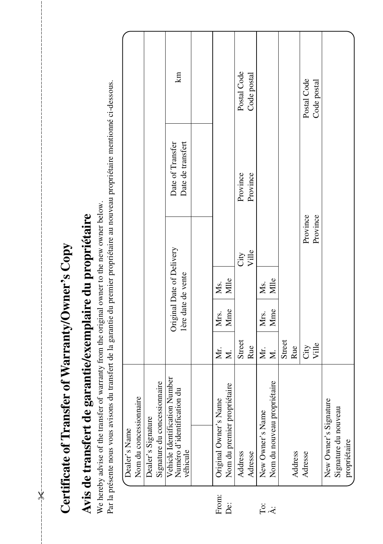| י המה<br>l<br>ζ                                  |
|--------------------------------------------------|
|                                                  |
|                                                  |
| $\sim$ $\sim$ $\sim$ $\sim$ $\sim$ $\sim$ $\sim$ |
| ī<br>$\mathbf$                                   |
|                                                  |
|                                                  |
|                                                  |
| <b>THE REPORT OF STREET</b><br>ĺ                 |
| ֧֧֧֧֓֓֓֓֓֓֓ <sub>֓</sub>                         |
| .<br>ל                                           |
|                                                  |
|                                                  |
| くうこうこう                                           |
|                                                  |
| $\frac{1}{2}$                                    |
| 5                                                |
|                                                  |
|                                                  |
| $\sim$                                           |
|                                                  |
| Í                                                |
|                                                  |

-

# Avis de transfert de garantie/exemplaire du propriétaire **Avis de transfert de garantie/exemplaire du propriétaire**

We hereby advise of the transfer of warranty from the original owner to the new owner below. We hereby advise of the transfer of warranty from the original owner to the new owner below.

Par la présente nous vous avisons du transfert de la garantie du premier propriétaire au nouveau propriétaire mentionné ci-dessous. Par la présente nous vous avisons du transfert de la garantie du premier propriétaire au nouveau propriétaire mentionné ci-dessous.

|               |                        |                    | $\Xi$                                                                                                   |                       |                             | Postal Code | Code postal |                  |                             |        |         | Postal Code   | Code postal |                       |                      |              |
|---------------|------------------------|--------------------|---------------------------------------------------------------------------------------------------------|-----------------------|-----------------------------|-------------|-------------|------------------|-----------------------------|--------|---------|---------------|-------------|-----------------------|----------------------|--------------|
|               |                        |                    | Date of Transfer<br>Date de transfert                                                                   |                       |                             | Province    | Province    |                  |                             |        |         |               |             |                       |                      |              |
|               |                        |                    |                                                                                                         |                       |                             | City        | Ville       |                  |                             |        |         | Province      | Province    |                       |                      |              |
|               |                        |                    |                                                                                                         | Ms.                   | Mlle                        |             |             | Ms.              | Mlle                        |        |         |               |             |                       |                      |              |
|               |                        |                    | Original Date of Delivery<br>lère date de vente                                                         | Mrs.                  | Mme                         |             |             | Mrs.             | Mme                         |        |         |               |             |                       |                      |              |
|               |                        |                    |                                                                                                         | Мr.                   | z.                          | Street      | Rue         | Мr.              | Σ.                          | Street | Rue     | City<br>Ville |             |                       |                      |              |
| Dealer's Name | Nom du concessionnaire | Dealer's Signature | Signature du concessionnaire<br>Vehicle Ldentification Number<br>Numéro d'identification du<br>véhicule | Original Owner's Name | Nom du premier propriétaire | Address     | Adresse     | New Owner's Name | Nom du nouveau propriétaire |        | Address | Adresse       |             | New Owner's Signature | Signature du nouveau | propriétaire |
|               |                        |                    |                                                                                                         | From:                 | Ä                           |             |             |                  | <br>⊢≪                      |        |         |               |             |                       |                      |              |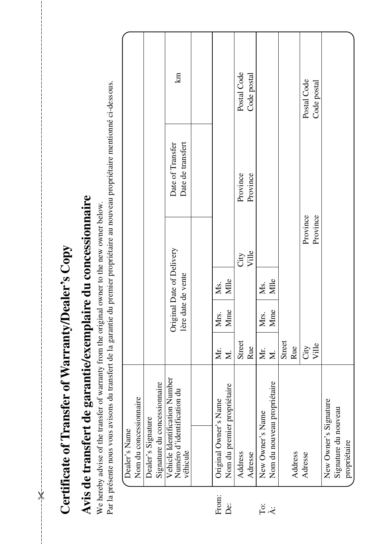| $\frac{1}{2}$<br>l              |
|---------------------------------|
| $\zeta$                         |
|                                 |
| j                               |
|                                 |
|                                 |
| Į                               |
|                                 |
| יים במצבים / ∖<br>$\frac{1}{2}$ |
|                                 |
|                                 |
| $\frac{1}{2}$                   |
| $\frac{1}{2}$                   |
| İ                               |
| ¢                               |
| ן<br>י                          |
|                                 |
| $\frac{1}{2}$<br>$\frac{1}{2}$  |
|                                 |
|                                 |
|                                 |
| $\frac{1}{2}$                   |
| i                               |
|                                 |
| ζ                               |

-

# Avis de transfert de garantie/exemplaire du concessiomaire **Avis de transfert de garantie/exemplaire du concessionnaire**

We hereby advise of the transfer of warranty from the original owner to the new owner below. We hereby advise of the transfer of warranty from the original owner to the new owner below.

Par la présente nous vous avisons du transfert de la garantie du premier propriétaire au nouveau propriétaire mentionné ci-dessous. Par la présente nous vous avisons du transfert de la garantie du premier propriétaire au nouveau propriétaire mentionné ci-dessous.

|               |                        |                                                    | km                                                                      |                       |                             | Postal Code   | Code postal |                  |                             |        |         | Postal Code | Code postal   |                       |                      |              |
|---------------|------------------------|----------------------------------------------------|-------------------------------------------------------------------------|-----------------------|-----------------------------|---------------|-------------|------------------|-----------------------------|--------|---------|-------------|---------------|-----------------------|----------------------|--------------|
|               |                        |                                                    | Date de transfert<br>Date of Transfer                                   |                       |                             | Province      | Province    |                  |                             |        |         |             |               |                       |                      |              |
|               |                        |                                                    |                                                                         |                       |                             | City<br>Ville |             |                  |                             |        |         | Province    | Province      |                       |                      |              |
|               |                        |                                                    |                                                                         | Ms.                   | Mlle                        |               |             | Ms.              | Mlle                        |        |         |             |               |                       |                      |              |
|               |                        |                                                    | Original Date of Delivery<br>lère date de vente                         | Mrs.                  | Mme                         |               |             | Mrs.             | Mme                         |        |         |             |               |                       |                      |              |
|               |                        |                                                    |                                                                         | Мr.                   | Σ.                          | Street        | Rue         | Мr.              | Σ.                          | Street | Rue     |             | City<br>Ville |                       |                      |              |
| Dealer's Name | Nom du concessionnaire | Signature du concessionnaire<br>Dealer's Signature | Vehicle Identification Number<br>Numéro d'identification du<br>véhicule | Original Owner's Name | Nom du premier propriétaire | Address       | Adresse     | New Owner's Name | Nom du nouveau propriétaire |        | Address | Adresse     |               | New Owner's Signature | Signature du nouveau | propriétaire |
|               |                        |                                                    |                                                                         | From:                 | Ä                           |               |             |                  | ë<br>Fä                     |        |         |             |               |                       |                      |              |